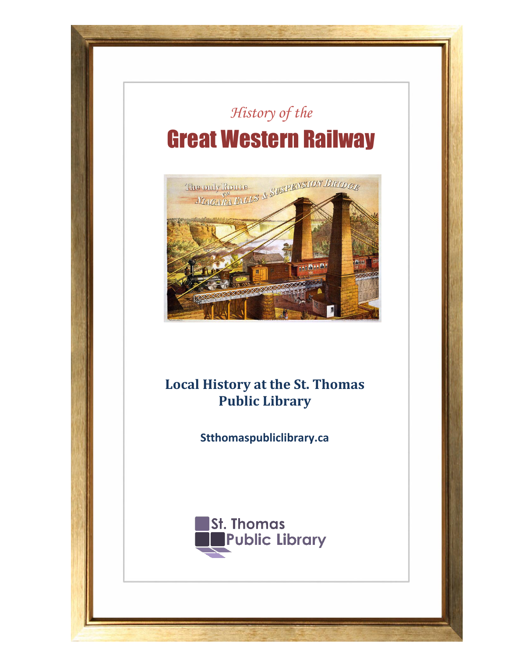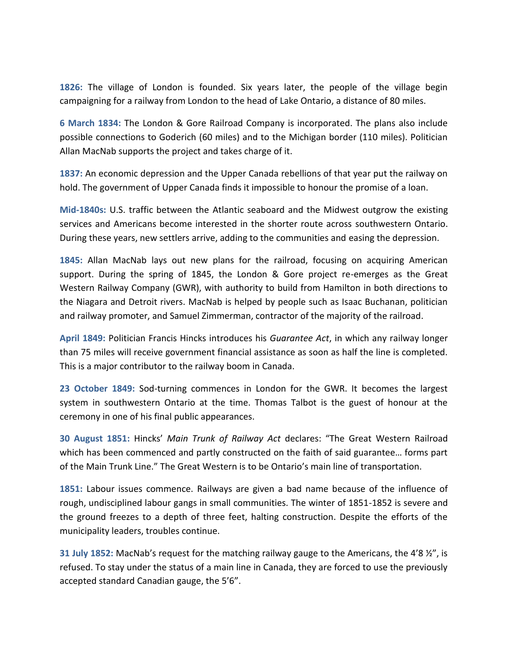**1826:** The village of London is founded. Six years later, the people of the village begin campaigning for a railway from London to the head of Lake Ontario, a distance of 80 miles.

**6 March 1834:** The London & Gore Railroad Company is incorporated. The plans also include possible connections to Goderich (60 miles) and to the Michigan border (110 miles). Politician Allan MacNab supports the project and takes charge of it.

**1837:** An economic depression and the Upper Canada rebellions of that year put the railway on hold. The government of Upper Canada finds it impossible to honour the promise of a loan.

**Mid-1840s:** U.S. traffic between the Atlantic seaboard and the Midwest outgrow the existing services and Americans become interested in the shorter route across southwestern Ontario. During these years, new settlers arrive, adding to the communities and easing the depression.

**1845:** Allan MacNab lays out new plans for the railroad, focusing on acquiring American support. During the spring of 1845, the London & Gore project re-emerges as the Great Western Railway Company (GWR), with authority to build from Hamilton in both directions to the Niagara and Detroit rivers. MacNab is helped by people such as Isaac Buchanan, politician and railway promoter, and Samuel Zimmerman, contractor of the majority of the railroad.

**April 1849:** Politician Francis Hincks introduces his *Guarantee Act*, in which any railway longer than 75 miles will receive government financial assistance as soon as half the line is completed. This is a major contributor to the railway boom in Canada.

**23 October 1849:** Sod-turning commences in London for the GWR. It becomes the largest system in southwestern Ontario at the time. Thomas Talbot is the guest of honour at the ceremony in one of his final public appearances.

**30 August 1851:** Hincks' *Main Trunk of Railway Act* declares: "The Great Western Railroad which has been commenced and partly constructed on the faith of said guarantee… forms part of the Main Trunk Line." The Great Western is to be Ontario's main line of transportation.

**1851:** Labour issues commence. Railways are given a bad name because of the influence of rough, undisciplined labour gangs in small communities. The winter of 1851-1852 is severe and the ground freezes to a depth of three feet, halting construction. Despite the efforts of the municipality leaders, troubles continue.

**31 July 1852:** MacNab's request for the matching railway gauge to the Americans, the 4'8 ½", is refused. To stay under the status of a main line in Canada, they are forced to use the previously accepted standard Canadian gauge, the 5'6".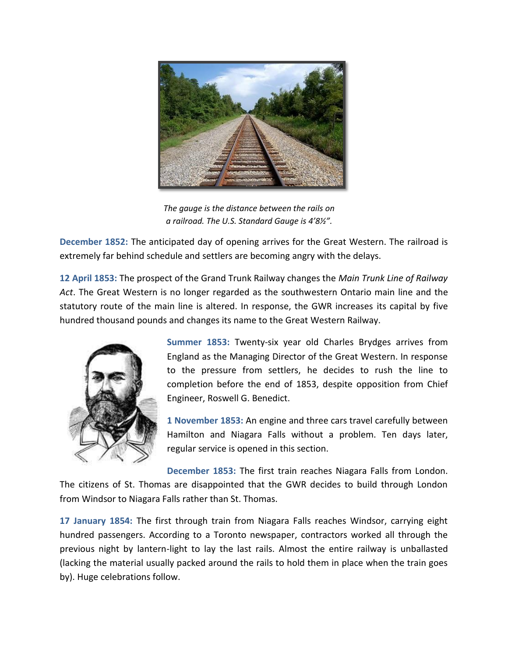

*The gauge is the distance between the rails on a railroad. The U.S. Standard Gauge is 4'8½".*

**December 1852:** The anticipated day of opening arrives for the Great Western. The railroad is extremely far behind schedule and settlers are becoming angry with the delays.

**12 April 1853:** The prospect of the Grand Trunk Railway changes the *Main Trunk Line of Railway Act*. The Great Western is no longer regarded as the southwestern Ontario main line and the statutory route of the main line is altered. In response, the GWR increases its capital by five hundred thousand pounds and changes its name to the Great Western Railway.



**Summer 1853:** Twenty-six year old Charles Brydges arrives from England as the Managing Director of the Great Western. In response to the pressure from settlers, he decides to rush the line to completion before the end of 1853, despite opposition from Chief Engineer, Roswell G. Benedict.

**1 November 1853:** An engine and three cars travel carefully between Hamilton and Niagara Falls without a problem. Ten days later, regular service is opened in this section.

**December 1853:** The first train reaches Niagara Falls from London. The citizens of St. Thomas are disappointed that the GWR decides to build through London from Windsor to Niagara Falls rather than St. Thomas.

**17 January 1854:** The first through train from Niagara Falls reaches Windsor, carrying eight hundred passengers. According to a Toronto newspaper, contractors worked all through the previous night by lantern-light to lay the last rails. Almost the entire railway is unballasted (lacking the material usually packed around the rails to hold them in place when the train goes by). Huge celebrations follow.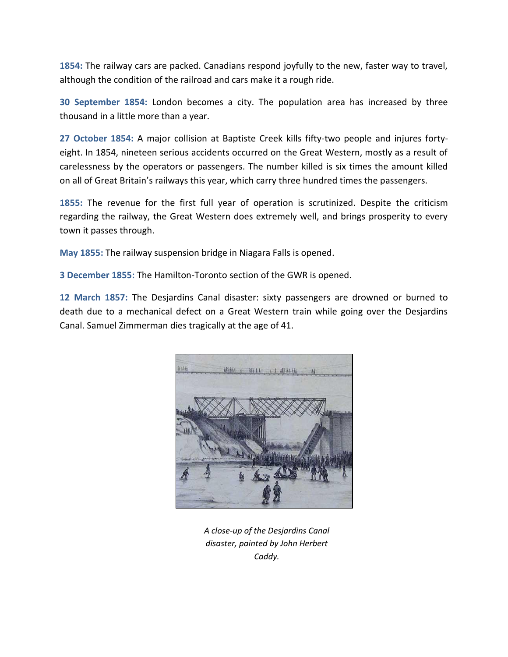**1854:** The railway cars are packed. Canadians respond joyfully to the new, faster way to travel, although the condition of the railroad and cars make it a rough ride.

**30 September 1854:** London becomes a city. The population area has increased by three thousand in a little more than a year.

**27 October 1854:** A major collision at Baptiste Creek kills fifty-two people and injures fortyeight. In 1854, nineteen serious accidents occurred on the Great Western, mostly as a result of carelessness by the operators or passengers. The number killed is six times the amount killed on all of Great Britain's railways this year, which carry three hundred times the passengers.

**1855:** The revenue for the first full year of operation is scrutinized. Despite the criticism regarding the railway, the Great Western does extremely well, and brings prosperity to every town it passes through.

**May 1855:** The railway suspension bridge in Niagara Falls is opened.

**3 December 1855:** The Hamilton-Toronto section of the GWR is opened.

**12 March 1857:** The Desjardins Canal disaster: sixty passengers are drowned or burned to death due to a mechanical defect on a Great Western train while going over the Desjardins Canal. Samuel Zimmerman dies tragically at the age of 41.



*A close-up of the Desjardins Canal disaster, painted by John Herbert Caddy.*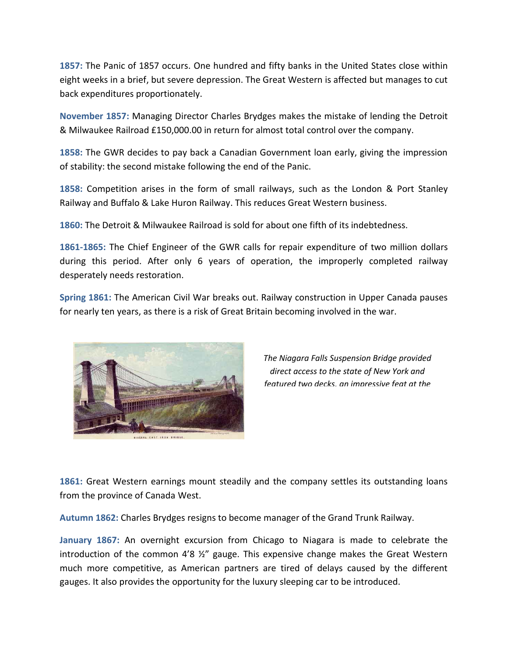**1857:** The Panic of 1857 occurs. One hundred and fifty banks in the United States close within eight weeks in a brief, but severe depression. The Great Western is affected but manages to cut back expenditures proportionately.

**November 1857:** Managing Director Charles Brydges makes the mistake of lending the Detroit & Milwaukee Railroad £150,000.00 in return for almost total control over the company.

**1858:** The GWR decides to pay back a Canadian Government loan early, giving the impression of stability: the second mistake following the end of the Panic.

**1858:** Competition arises in the form of small railways, such as the London & Port Stanley Railway and Buffalo & Lake Huron Railway. This reduces Great Western business.

**1860:** The Detroit & Milwaukee Railroad is sold for about one fifth of its indebtedness.

**1861-1865:** The Chief Engineer of the GWR calls for repair expenditure of two million dollars during this period. After only 6 years of operation, the improperly completed railway desperately needs restoration.

**Spring 1861:** The American Civil War breaks out. Railway construction in Upper Canada pauses for nearly ten years, as there is a risk of Great Britain becoming involved in the war.



*The Niagara Falls Suspension Bridge provided direct access to the state of New York and featured two decks, an impressive feat at the* 

**1861:** Great Western earnings mount steadily and the company settles its outstanding loans from the province of Canada West.

**Autumn 1862:** Charles Brydges resigns to become manager of the Grand Trunk Railway.

**January 1867:** An overnight excursion from Chicago to Niagara is made to celebrate the introduction of the common 4'8  $\frac{1}{2}$ " gauge. This expensive change makes the Great Western much more competitive, as American partners are tired of delays caused by the different gauges. It also provides the opportunity for the luxury sleeping car to be introduced.